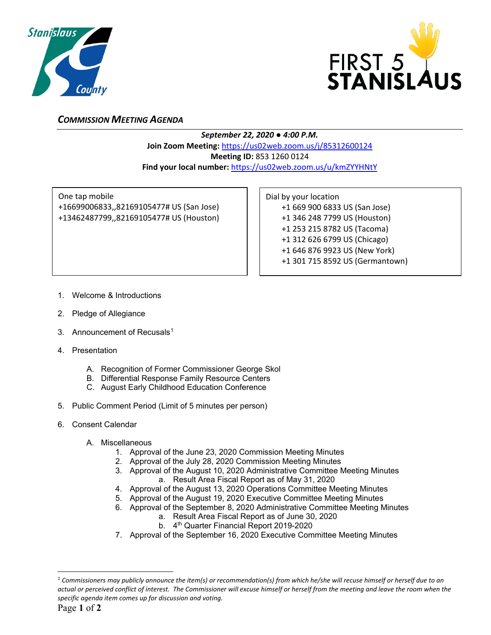



## *COMMISSION MEETING AGENDA*

*September 22, 2020 ● 4:00 P.M.* **Join Zoom Meeting:** <https://us02web.zoom.us/j/85312600124> **Meeting ID:** 853 1260 0124 **Find your local number:** <https://us02web.zoom.us/u/kmZYYHNtY>

One tap mobile +16699006833,,82169105477# US (San Jose) +13462487799,,82169105477# US (Houston) Dial by your location +1 669 900 6833 US (San Jose) +1 346 248 7799 US (Houston) +1 253 215 8782 US (Tacoma) +1 312 626 6799 US (Chicago) +1 646 876 9923 US (New York) +1 301 715 8592 US (Germantown)

- 1. Welcome & Introductions
- 2. Pledge of Allegiance
- 3. Announcement of Recusals<sup>[1](#page-0-0)</sup>
- 4. Presentation
	- A. Recognition of Former Commissioner George Skol
	- B. Differential Response Family Resource Centers
	- C. August Early Childhood Education Conference
- 5. Public Comment Period (Limit of 5 minutes per person)
- 6. Consent Calendar
	- A. Miscellaneous
		- 1. Approval of the June 23, 2020 Commission Meeting Minutes
		- 2. Approval of the July 28, 2020 Commission Meeting Minutes
		- 3. Approval of the August 10, 2020 Administrative Committee Meeting Minutes a. Result Area Fiscal Report as of May 31, 2020
		- 4. Approval of the August 13, 2020 Operations Committee Meeting Minutes
		- 5. Approval of the August 19, 2020 Executive Committee Meeting Minutes
		- 6. Approval of the September 8, 2020 Administrative Committee Meeting Minutes
			- a. Result Area Fiscal Report as of June 30, 2020
			- b. 4<sup>th</sup> Quarter Financial Report 2019-2020
		- 7. Approval of the September 16, 2020 Executive Committee Meeting Minutes

<span id="page-0-0"></span>*<sup>1</sup> Commissioners may publicly announce the item(s) or recommendation(s) from which he/she will recuse himself or herself due to an actual or perceived conflict of interest. The Commissioner will excuse himself or herself from the meeting and leave the room when the specific agenda item comes up for discussion and voting.*